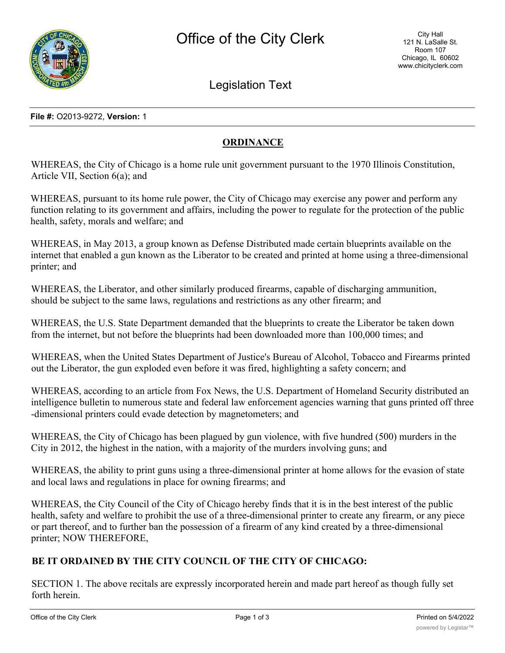

Legislation Text

**File #:** O2013-9272, **Version:** 1

# **ORDINANCE**

WHEREAS, the City of Chicago is a home rule unit government pursuant to the 1970 Illinois Constitution, Article VII, Section 6(a); and

WHEREAS, pursuant to its home rule power, the City of Chicago may exercise any power and perform any function relating to its government and affairs, including the power to regulate for the protection of the public health, safety, morals and welfare; and

WHEREAS, in May 2013, a group known as Defense Distributed made certain blueprints available on the internet that enabled a gun known as the Liberator to be created and printed at home using a three-dimensional printer; and

WHEREAS, the Liberator, and other similarly produced firearms, capable of discharging ammunition, should be subject to the same laws, regulations and restrictions as any other firearm; and

WHEREAS, the U.S. State Department demanded that the blueprints to create the Liberator be taken down from the internet, but not before the blueprints had been downloaded more than 100,000 times; and

WHEREAS, when the United States Department of Justice's Bureau of Alcohol, Tobacco and Firearms printed out the Liberator, the gun exploded even before it was fired, highlighting a safety concern; and

WHEREAS, according to an article from Fox News, the U.S. Department of Homeland Security distributed an intelligence bulletin to numerous state and federal law enforcement agencies warning that guns printed off three -dimensional printers could evade detection by magnetometers; and

WHEREAS, the City of Chicago has been plagued by gun violence, with five hundred (500) murders in the City in 2012, the highest in the nation, with a majority of the murders involving guns; and

WHEREAS, the ability to print guns using a three-dimensional printer at home allows for the evasion of state and local laws and regulations in place for owning firearms; and

WHEREAS, the City Council of the City of Chicago hereby finds that it is in the best interest of the public health, safety and welfare to prohibit the use of a three-dimensional printer to create any firearm, or any piece or part thereof, and to further ban the possession of a firearm of any kind created by a three-dimensional printer; NOW THEREFORE,

## **BE IT ORDAINED BY THE CITY COUNCIL OF THE CITY OF CHICAGO:**

SECTION 1. The above recitals are expressly incorporated herein and made part hereof as though fully set forth herein.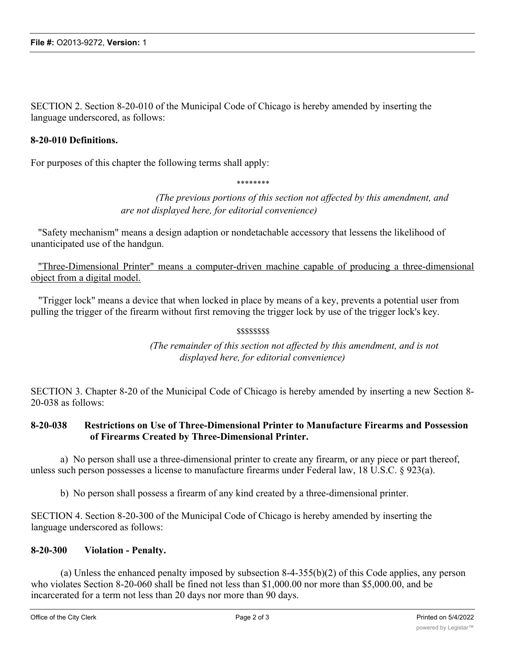SECTION 2. Section 8-20-010 of the Municipal Code of Chicago is hereby amended by inserting the language underscored, as follows:

#### **8-20-010 Definitions.**

For purposes of this chapter the following terms shall apply:

\*\*\*\*\*\*\*\*

*(The previous portions of this section not affected by this amendment, and are not displayed here, for editorial convenience)*

"Safety mechanism" means a design adaption or nondetachable accessory that lessens the likelihood of unanticipated use of the handgun.

"Three-Dimensional Printer" means a computer-driven machine capable of producing a three-dimensional object from a digital model.

"Trigger lock" means a device that when locked in place by means of a key, prevents a potential user from pulling the trigger of the firearm without first removing the trigger lock by use of the trigger lock's key.

## \$\$\$\$\$\$\$\$

*(The remainder of this section not affected by this amendment, and is not displayed here, for editorial convenience)*

SECTION 3. Chapter 8-20 of the Municipal Code of Chicago is hereby amended by inserting a new Section 8- 20-038 as follows:

## **8-20-038 Restrictions on Use of Three-Dimensional Printer to Manufacture Firearms and Possession of Firearms Created by Three-Dimensional Printer.**

a) No person shall use a three-dimensional printer to create any firearm, or any piece or part thereof, unless such person possesses a license to manufacture firearms under Federal law, 18 U.S.C. § 923(a).

b) No person shall possess a firearm of any kind created by a three-dimensional printer.

SECTION 4. Section 8-20-300 of the Municipal Code of Chicago is hereby amended by inserting the language underscored as follows:

#### **8-20-300 Violation - Penalty.**

(a) Unless the enhanced penalty imposed by subsection 8-4-355(b)(2) of this Code applies, any person who violates Section 8-20-060 shall be fined not less than \$1,000.00 nor more than \$5,000.00, and be incarcerated for a term not less than 20 days nor more than 90 days.